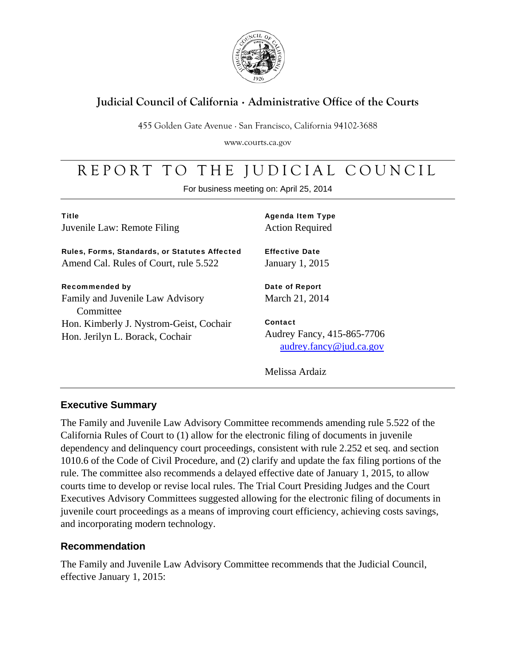

### **Judicial Council of California** . **Administrative Office of the Courts**

455 Golden Gate Avenue . San Francisco, California 94102-3688

www.courts.ca.gov

# REPORT TO THE JUDICIAL COUNCIL

For business meeting on: April 25, 2014

| <b>Title</b>                |
|-----------------------------|
| Juvenile Law: Remote Filing |

Rules, Forms, Standards, or Statutes Affected Amend Cal. Rules of Court, rule 5.522

#### Recommended by

Family and Juvenile Law Advisory **Committee** Hon. Kimberly J. Nystrom-Geist, Cochair Hon. Jerilyn L. Borack, Cochair

Agenda Item Type Action Required

Effective Date January 1, 2015

Date of Report March 21, 2014

Contact Audrey Fancy, 415-865-7706 audrey.fancy@jud.ca.gov

Melissa Ardaiz

### **Executive Summary**

The Family and Juvenile Law Advisory Committee recommends amending rule 5.522 of the California Rules of Court to (1) allow for the electronic filing of documents in juvenile dependency and delinquency court proceedings, consistent with rule 2.252 et seq. and section 1010.6 of the Code of Civil Procedure, and (2) clarify and update the fax filing portions of the rule. The committee also recommends a delayed effective date of January 1, 2015, to allow courts time to develop or revise local rules. The Trial Court Presiding Judges and the Court Executives Advisory Committees suggested allowing for the electronic filing of documents in juvenile court proceedings as a means of improving court efficiency, achieving costs savings, and incorporating modern technology.

### **Recommendation**

The Family and Juvenile Law Advisory Committee recommends that the Judicial Council, effective January 1, 2015: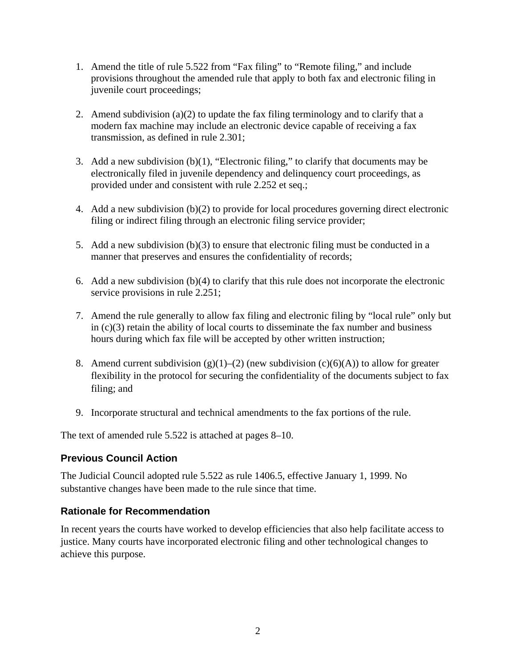- 1. Amend the title of rule 5.522 from "Fax filing" to "Remote filing," and include provisions throughout the amended rule that apply to both fax and electronic filing in juvenile court proceedings;
- 2. Amend subdivision (a)(2) to update the fax filing terminology and to clarify that a modern fax machine may include an electronic device capable of receiving a fax transmission, as defined in rule 2.301;
- 3. Add a new subdivision (b)(1), "Electronic filing," to clarify that documents may be electronically filed in juvenile dependency and delinquency court proceedings, as provided under and consistent with rule 2.252 et seq.;
- 4. Add a new subdivision (b)(2) to provide for local procedures governing direct electronic filing or indirect filing through an electronic filing service provider;
- 5. Add a new subdivision (b)(3) to ensure that electronic filing must be conducted in a manner that preserves and ensures the confidentiality of records;
- 6. Add a new subdivision (b)(4) to clarify that this rule does not incorporate the electronic service provisions in rule 2.251;
- 7. Amend the rule generally to allow fax filing and electronic filing by "local rule" only but in (c)(3) retain the ability of local courts to disseminate the fax number and business hours during which fax file will be accepted by other written instruction;
- 8. Amend current subdivision  $(g)(1)-(2)$  (new subdivision  $(c)(6)(A)$ ) to allow for greater flexibility in the protocol for securing the confidentiality of the documents subject to fax filing; and
- 9. Incorporate structural and technical amendments to the fax portions of the rule.

The text of amended rule 5.522 is attached at pages 8–10.

### **Previous Council Action**

The Judicial Council adopted rule 5.522 as rule 1406.5, effective January 1, 1999. No substantive changes have been made to the rule since that time.

### **Rationale for Recommendation**

In recent years the courts have worked to develop efficiencies that also help facilitate access to justice. Many courts have incorporated electronic filing and other technological changes to achieve this purpose.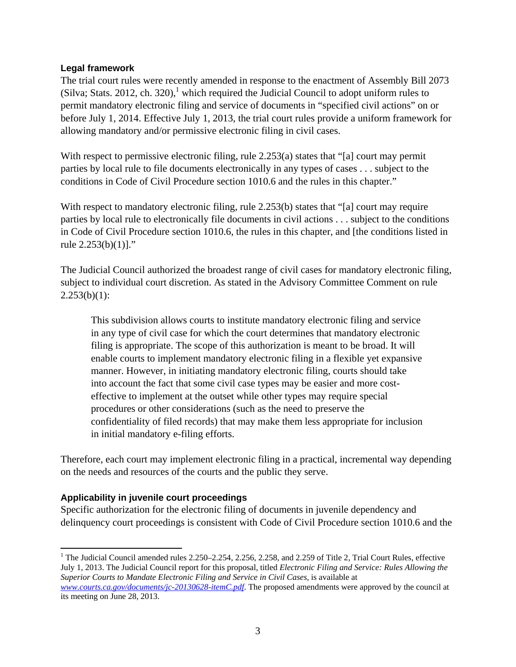#### **Legal framework**

The trial court rules were recently amended in response to the enactment of Assembly Bill 2073 (Silva; Stats. 2012, ch. 320),<sup>1</sup> which required the Judicial Council to adopt uniform rules to permit mandatory electronic filing and service of documents in "specified civil actions" on or before July 1, 2014. Effective July 1, 2013, the trial court rules provide a uniform framework for allowing mandatory and/or permissive electronic filing in civil cases.

With respect to permissive electronic filing, rule 2.253(a) states that "[a] court may permit parties by local rule to file documents electronically in any types of cases . . . subject to the conditions in Code of Civil Procedure section 1010.6 and the rules in this chapter."

With respect to mandatory electronic filing, rule 2.253(b) states that "[a] court may require parties by local rule to electronically file documents in civil actions . . . subject to the conditions in Code of Civil Procedure section 1010.6, the rules in this chapter, and [the conditions listed in rule 2.253(b)(1)]."

The Judicial Council authorized the broadest range of civil cases for mandatory electronic filing, subject to individual court discretion. As stated in the Advisory Committee Comment on rule  $2.253(b)(1)$ :

This subdivision allows courts to institute mandatory electronic filing and service in any type of civil case for which the court determines that mandatory electronic filing is appropriate. The scope of this authorization is meant to be broad. It will enable courts to implement mandatory electronic filing in a flexible yet expansive manner. However, in initiating mandatory electronic filing, courts should take into account the fact that some civil case types may be easier and more costeffective to implement at the outset while other types may require special procedures or other considerations (such as the need to preserve the confidentiality of filed records) that may make them less appropriate for inclusion in initial mandatory e-filing efforts.

Therefore, each court may implement electronic filing in a practical, incremental way depending on the needs and resources of the courts and the public they serve.

#### **Applicability in juvenile court proceedings**

Specific authorization for the electronic filing of documents in juvenile dependency and delinquency court proceedings is consistent with Code of Civil Procedure section 1010.6 and the

 $\overline{a}$ <sup>1</sup> The Judicial Council amended rules 2.250–2.254, 2.256, 2.258, and 2.259 of Title 2, Trial Court Rules, effective July 1, 2013. The Judicial Council report for this proposal, titled *Electronic Filing and Service: Rules Allowing the Superior Courts to Mandate Electronic Filing and Service in Civil Cases,* is available at *www.courts.ca.gov/documents/jc-20130628-itemC.pdf*. The proposed amendments were approved by the council at its meeting on June 28, 2013.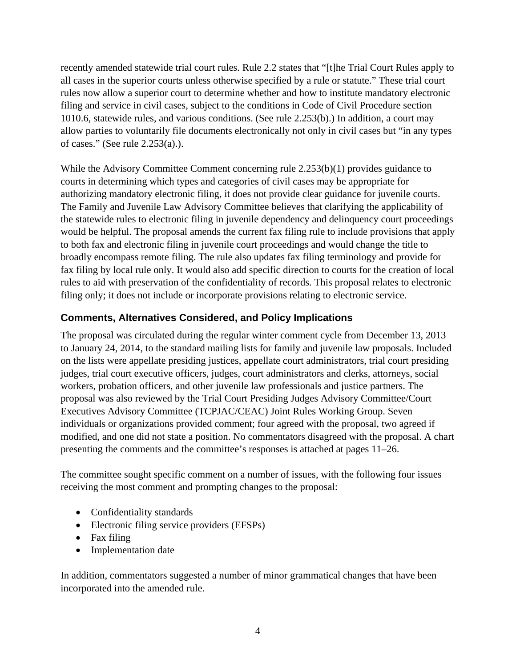recently amended statewide trial court rules. Rule 2.2 states that "[t]he Trial Court Rules apply to all cases in the superior courts unless otherwise specified by a rule or statute." These trial court rules now allow a superior court to determine whether and how to institute mandatory electronic filing and service in civil cases, subject to the conditions in Code of Civil Procedure section 1010.6, statewide rules, and various conditions. (See rule 2.253(b).) In addition, a court may allow parties to voluntarily file documents electronically not only in civil cases but "in any types of cases." (See rule 2.253(a).).

While the Advisory Committee Comment concerning rule 2.253(b)(1) provides guidance to courts in determining which types and categories of civil cases may be appropriate for authorizing mandatory electronic filing, it does not provide clear guidance for juvenile courts. The Family and Juvenile Law Advisory Committee believes that clarifying the applicability of the statewide rules to electronic filing in juvenile dependency and delinquency court proceedings would be helpful. The proposal amends the current fax filing rule to include provisions that apply to both fax and electronic filing in juvenile court proceedings and would change the title to broadly encompass remote filing. The rule also updates fax filing terminology and provide for fax filing by local rule only. It would also add specific direction to courts for the creation of local rules to aid with preservation of the confidentiality of records. This proposal relates to electronic filing only; it does not include or incorporate provisions relating to electronic service.

### **Comments, Alternatives Considered, and Policy Implications**

The proposal was circulated during the regular winter comment cycle from December 13, 2013 to January 24, 2014, to the standard mailing lists for family and juvenile law proposals. Included on the lists were appellate presiding justices, appellate court administrators, trial court presiding judges, trial court executive officers, judges, court administrators and clerks, attorneys, social workers, probation officers, and other juvenile law professionals and justice partners. The proposal was also reviewed by the Trial Court Presiding Judges Advisory Committee/Court Executives Advisory Committee (TCPJAC/CEAC) Joint Rules Working Group. Seven individuals or organizations provided comment; four agreed with the proposal, two agreed if modified, and one did not state a position. No commentators disagreed with the proposal. A chart presenting the comments and the committee's responses is attached at pages 11–26.

The committee sought specific comment on a number of issues, with the following four issues receiving the most comment and prompting changes to the proposal:

- Confidentiality standards
- Electronic filing service providers (EFSPs)
- Fax filing
- Implementation date

In addition, commentators suggested a number of minor grammatical changes that have been incorporated into the amended rule.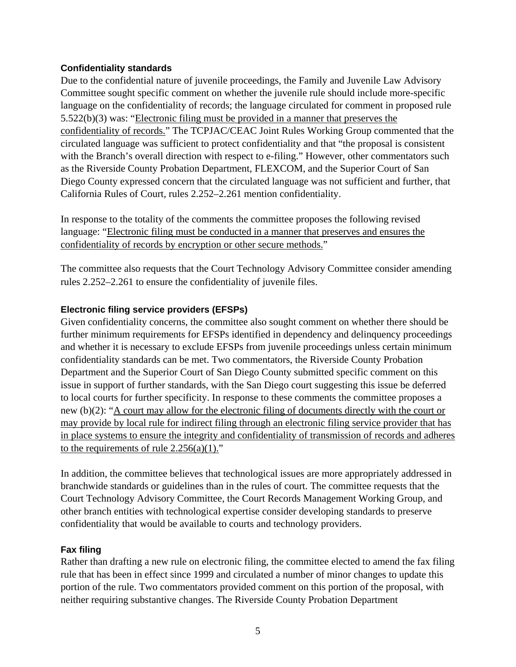#### **Confidentiality standards**

Due to the confidential nature of juvenile proceedings, the Family and Juvenile Law Advisory Committee sought specific comment on whether the juvenile rule should include more-specific language on the confidentiality of records; the language circulated for comment in proposed rule 5.522(b)(3) was: "Electronic filing must be provided in a manner that preserves the confidentiality of records." The TCPJAC/CEAC Joint Rules Working Group commented that the circulated language was sufficient to protect confidentiality and that "the proposal is consistent with the Branch's overall direction with respect to e-filing." However, other commentators such as the Riverside County Probation Department, FLEXCOM, and the Superior Court of San Diego County expressed concern that the circulated language was not sufficient and further, that California Rules of Court, rules 2.252–2.261 mention confidentiality.

In response to the totality of the comments the committee proposes the following revised language: "Electronic filing must be conducted in a manner that preserves and ensures the confidentiality of records by encryption or other secure methods."

The committee also requests that the Court Technology Advisory Committee consider amending rules 2.252–2.261 to ensure the confidentiality of juvenile files.

#### **Electronic filing service providers (EFSPs)**

Given confidentiality concerns, the committee also sought comment on whether there should be further minimum requirements for EFSPs identified in dependency and delinquency proceedings and whether it is necessary to exclude EFSPs from juvenile proceedings unless certain minimum confidentiality standards can be met. Two commentators, the Riverside County Probation Department and the Superior Court of San Diego County submitted specific comment on this issue in support of further standards, with the San Diego court suggesting this issue be deferred to local courts for further specificity. In response to these comments the committee proposes a new (b)(2): "A court may allow for the electronic filing of documents directly with the court or may provide by local rule for indirect filing through an electronic filing service provider that has in place systems to ensure the integrity and confidentiality of transmission of records and adheres to the requirements of rule  $2.256(a)(1)$ ."

In addition, the committee believes that technological issues are more appropriately addressed in branchwide standards or guidelines than in the rules of court. The committee requests that the Court Technology Advisory Committee, the Court Records Management Working Group, and other branch entities with technological expertise consider developing standards to preserve confidentiality that would be available to courts and technology providers.

#### **Fax filing**

Rather than drafting a new rule on electronic filing, the committee elected to amend the fax filing rule that has been in effect since 1999 and circulated a number of minor changes to update this portion of the rule. Two commentators provided comment on this portion of the proposal, with neither requiring substantive changes. The Riverside County Probation Department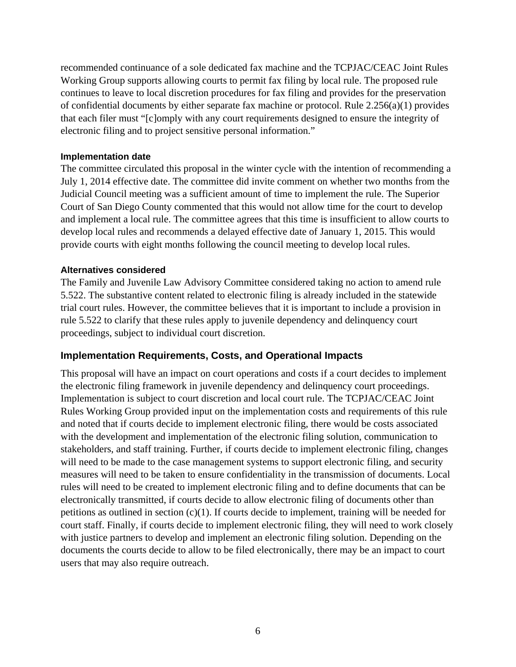recommended continuance of a sole dedicated fax machine and the TCPJAC/CEAC Joint Rules Working Group supports allowing courts to permit fax filing by local rule. The proposed rule continues to leave to local discretion procedures for fax filing and provides for the preservation of confidential documents by either separate fax machine or protocol. Rule 2.256(a)(1) provides that each filer must "[c]omply with any court requirements designed to ensure the integrity of electronic filing and to project sensitive personal information."

#### **Implementation date**

The committee circulated this proposal in the winter cycle with the intention of recommending a July 1, 2014 effective date. The committee did invite comment on whether two months from the Judicial Council meeting was a sufficient amount of time to implement the rule. The Superior Court of San Diego County commented that this would not allow time for the court to develop and implement a local rule. The committee agrees that this time is insufficient to allow courts to develop local rules and recommends a delayed effective date of January 1, 2015. This would provide courts with eight months following the council meeting to develop local rules.

#### **Alternatives considered**

The Family and Juvenile Law Advisory Committee considered taking no action to amend rule 5.522. The substantive content related to electronic filing is already included in the statewide trial court rules. However, the committee believes that it is important to include a provision in rule 5.522 to clarify that these rules apply to juvenile dependency and delinquency court proceedings, subject to individual court discretion.

#### **Implementation Requirements, Costs, and Operational Impacts**

This proposal will have an impact on court operations and costs if a court decides to implement the electronic filing framework in juvenile dependency and delinquency court proceedings. Implementation is subject to court discretion and local court rule. The TCPJAC/CEAC Joint Rules Working Group provided input on the implementation costs and requirements of this rule and noted that if courts decide to implement electronic filing, there would be costs associated with the development and implementation of the electronic filing solution, communication to stakeholders, and staff training. Further, if courts decide to implement electronic filing, changes will need to be made to the case management systems to support electronic filing, and security measures will need to be taken to ensure confidentiality in the transmission of documents. Local rules will need to be created to implement electronic filing and to define documents that can be electronically transmitted, if courts decide to allow electronic filing of documents other than petitions as outlined in section (c)(1). If courts decide to implement, training will be needed for court staff. Finally, if courts decide to implement electronic filing, they will need to work closely with justice partners to develop and implement an electronic filing solution. Depending on the documents the courts decide to allow to be filed electronically, there may be an impact to court users that may also require outreach.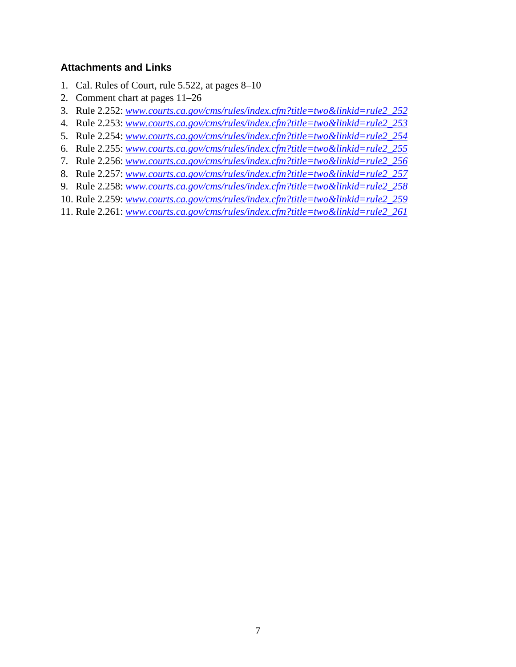#### **Attachments and Links**

- 1. Cal. Rules of Court, rule 5.522, at pages 8–10
- 2. Comment chart at pages 11–26
- 3. Rule 2.252: *www.courts.ca.gov/cms/rules/index.cfm?title=two&linkid=rule2\_252*
- 4. Rule 2.253: *www.courts.ca.gov/cms/rules/index.cfm?title=two&linkid=rule2\_253*
- 5. Rule 2.254: *www.courts.ca.gov/cms/rules/index.cfm?title=two&linkid=rule2\_254*
- 6. Rule 2.255: *www.courts.ca.gov/cms/rules/index.cfm?title=two&linkid=rule2\_255*
- 7. Rule 2.256: *www.courts.ca.gov/cms/rules/index.cfm?title=two&linkid=rule2\_256*
- 8. Rule 2.257: *www.courts.ca.gov/cms/rules/index.cfm?title=two&linkid=rule2\_257*
- 9. Rule 2.258: *www.courts.ca.gov/cms/rules/index.cfm?title=two&linkid=rule2\_258*
- 10. Rule 2.259: *www.courts.ca.gov/cms/rules/index.cfm?title=two&linkid=rule2\_259*
- 11. Rule 2.261: *www.courts.ca.gov/cms/rules/index.cfm?title=two&linkid=rule2\_261*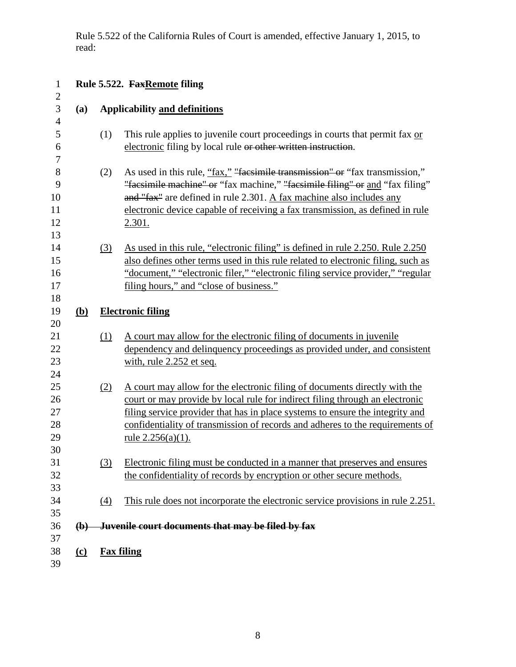Rule 5.522 of the California Rules of Court is amended, effective January 1, 2015, to read:

| $\mathbf{1}$                     |                           |                   | Rule 5.522. FaxRemote filing                                                                                                                                                                                                                                                                                                                         |
|----------------------------------|---------------------------|-------------------|------------------------------------------------------------------------------------------------------------------------------------------------------------------------------------------------------------------------------------------------------------------------------------------------------------------------------------------------------|
| $\mathbf{2}$<br>3                | (a)                       |                   | <b>Applicability and definitions</b>                                                                                                                                                                                                                                                                                                                 |
| $\overline{4}$<br>5<br>6<br>7    |                           | (1)               | This rule applies to juvenile court proceedings in courts that permit fax or<br>electronic filing by local rule or other written instruction.                                                                                                                                                                                                        |
| 8<br>9<br>10<br>11<br>12<br>13   |                           | (2)               | As used in this rule, "fax," "facsimile transmission" or "fax transmission,"<br>"facsimile machine" or "fax machine," "facsimile filing" or and "fax filing"<br>and "fax" are defined in rule 2.301. A fax machine also includes any<br>electronic device capable of receiving a fax transmission, as defined in rule<br>2.301.                      |
| 14<br>15<br>16<br>17<br>18       |                           | (3)               | As used in this rule, "electronic filing" is defined in rule 2.250. Rule 2.250<br>also defines other terms used in this rule related to electronic filing, such as<br>"document," "electronic filer," "electronic filing service provider," "regular"<br>filing hours," and "close of business."                                                     |
| 19<br>20                         | <u>(b)</u>                |                   | <b>Electronic filing</b>                                                                                                                                                                                                                                                                                                                             |
| 21<br>22<br>23<br>24             |                           | (1)               | A court may allow for the electronic filing of documents in juvenile<br>dependency and delinquency proceedings as provided under, and consistent<br>with, rule 2.252 et seq.                                                                                                                                                                         |
| 25<br>26<br>27<br>28<br>29<br>30 |                           | (2)               | A court may allow for the electronic filing of documents directly with the<br>court or may provide by local rule for indirect filing through an electronic<br>filing service provider that has in place systems to ensure the integrity and<br>confidentiality of transmission of records and adheres to the requirements of<br>rule $2.256(a)(1)$ . |
| 31<br>32<br>33                   |                           | (3)               | Electronic filing must be conducted in a manner that preserves and ensures<br>the confidentiality of records by encryption or other secure methods.                                                                                                                                                                                                  |
| 34                               |                           | $\Delta$          | This rule does not incorporate the electronic service provisions in rule 2.251.                                                                                                                                                                                                                                                                      |
| 35<br>36<br>37                   | $\left(\mathbf{b}\right)$ |                   | Juvenile court documents that may be filed by fax                                                                                                                                                                                                                                                                                                    |
| 38<br>39                         | <u>(c)</u>                | <b>Fax filing</b> |                                                                                                                                                                                                                                                                                                                                                      |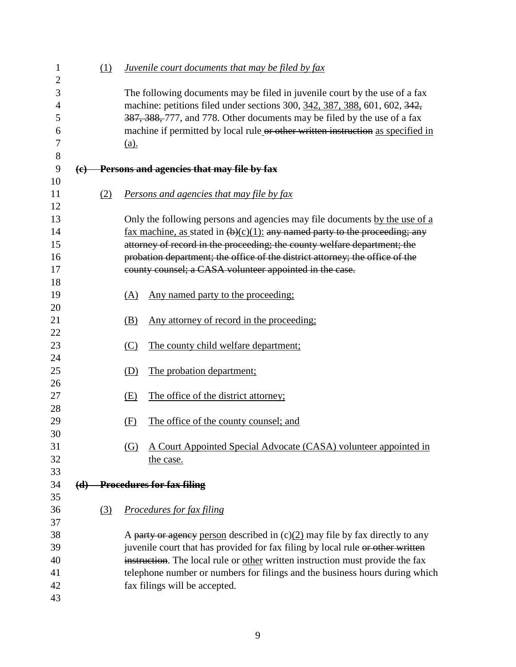| 1<br>$\overline{2}$ |     | (1) | Juvenile court documents that may be filed by fax                               |  |  |  |  |  |  |  |
|---------------------|-----|-----|---------------------------------------------------------------------------------|--|--|--|--|--|--|--|
| 3                   |     |     | The following documents may be filed in juvenile court by the use of a fax      |  |  |  |  |  |  |  |
| 4                   |     |     | machine: petitions filed under sections 300, 342, 387, 388, 601, 602, 342,      |  |  |  |  |  |  |  |
| 5                   |     |     | 387, 388, 777, and 778. Other documents may be filed by the use of a fax        |  |  |  |  |  |  |  |
| 6                   |     |     | machine if permitted by local rule or other written instruction as specified in |  |  |  |  |  |  |  |
| 7                   |     |     | $(a)$ .                                                                         |  |  |  |  |  |  |  |
| 8                   |     |     |                                                                                 |  |  |  |  |  |  |  |
| 9                   | (e) |     | Persons and agencies that may file by fax                                       |  |  |  |  |  |  |  |
| 10<br>11            |     | (2) | <b>Persons and agencies that may file by fax</b>                                |  |  |  |  |  |  |  |
| 12                  |     |     |                                                                                 |  |  |  |  |  |  |  |
| 13                  |     |     | Only the following persons and agencies may file documents by the use of a      |  |  |  |  |  |  |  |
| 14                  |     |     | fax machine, as stated in $(b)(c)(1)$ : any named party to the proceeding; any  |  |  |  |  |  |  |  |
| 15                  |     |     | attorney of record in the proceeding; the county welfare department; the        |  |  |  |  |  |  |  |
| 16                  |     |     | probation department; the office of the district attorney; the office of the    |  |  |  |  |  |  |  |
| 17                  |     |     | county counsel; a CASA volunteer appointed in the case.                         |  |  |  |  |  |  |  |
| 18                  |     |     |                                                                                 |  |  |  |  |  |  |  |
| 19                  |     |     | Any named party to the proceeding:<br>(A)                                       |  |  |  |  |  |  |  |
| 20                  |     |     |                                                                                 |  |  |  |  |  |  |  |
| 21                  |     |     | Any attorney of record in the proceeding;<br>(B)                                |  |  |  |  |  |  |  |
| 22<br>23            |     |     | (C)                                                                             |  |  |  |  |  |  |  |
| 24                  |     |     | The county child welfare department;                                            |  |  |  |  |  |  |  |
| 25                  |     |     | The probation department;<br>(D)                                                |  |  |  |  |  |  |  |
| 26                  |     |     |                                                                                 |  |  |  |  |  |  |  |
| 27                  |     |     | The office of the district attorney;<br>(E)                                     |  |  |  |  |  |  |  |
| 28                  |     |     |                                                                                 |  |  |  |  |  |  |  |
| 29                  |     |     | The office of the county counsel; and<br>(F)                                    |  |  |  |  |  |  |  |
| 30                  |     |     |                                                                                 |  |  |  |  |  |  |  |
| 31                  |     |     | A Court Appointed Special Advocate (CASA) volunteer appointed in<br>(G)         |  |  |  |  |  |  |  |
| 32                  |     |     | the case.                                                                       |  |  |  |  |  |  |  |
| 33                  |     |     |                                                                                 |  |  |  |  |  |  |  |
| 34                  |     |     | (d) Procedures for fax filing                                                   |  |  |  |  |  |  |  |
| 35                  |     |     |                                                                                 |  |  |  |  |  |  |  |
| 36                  |     | (3) | <b>Procedures for fax filing</b>                                                |  |  |  |  |  |  |  |
| 37                  |     |     |                                                                                 |  |  |  |  |  |  |  |
| 38                  |     |     | A party or agency person described in $(c)(2)$ may file by fax directly to any  |  |  |  |  |  |  |  |
| 39                  |     |     | juvenile court that has provided for fax filing by local rule or other written  |  |  |  |  |  |  |  |
| 40                  |     |     | instruction. The local rule or other written instruction must provide the fax   |  |  |  |  |  |  |  |
| 41                  |     |     | telephone number or numbers for filings and the business hours during which     |  |  |  |  |  |  |  |
| 42                  |     |     | fax filings will be accepted.                                                   |  |  |  |  |  |  |  |
| 43                  |     |     |                                                                                 |  |  |  |  |  |  |  |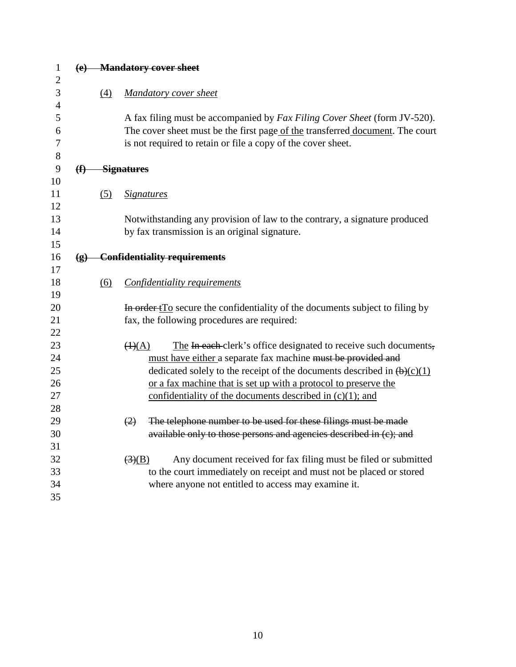| $\mathbf{1}$   |                             |     | (e) Mandatory cover sheet                                                                        |
|----------------|-----------------------------|-----|--------------------------------------------------------------------------------------------------|
| $\overline{2}$ |                             |     |                                                                                                  |
| 3              |                             | (4) | <b>Mandatory cover sheet</b>                                                                     |
| $\overline{4}$ |                             |     |                                                                                                  |
| 5              |                             |     | A fax filing must be accompanied by <i>Fax Filing Cover Sheet</i> (form JV-520).                 |
| 6              |                             |     | The cover sheet must be the first page of the transferred document. The court                    |
| 7              |                             |     | is not required to retain or file a copy of the cover sheet.                                     |
| 8              |                             |     |                                                                                                  |
| 9              | $\bigoplus$                 |     | <b>Signatures</b>                                                                                |
| 10             |                             |     |                                                                                                  |
| 11             |                             | (5) | <b>Signatures</b>                                                                                |
| 12             |                             |     |                                                                                                  |
| 13             |                             |     | Notwithstanding any provision of law to the contrary, a signature produced                       |
| 14             |                             |     | by fax transmission is an original signature.                                                    |
| 15             |                             |     |                                                                                                  |
| 16             | $\left( \mathbf{g} \right)$ |     | <b>Confidentiality requirements</b>                                                              |
| 17             |                             |     |                                                                                                  |
| 18             |                             | (6) | Confidentiality requirements                                                                     |
| 19             |                             |     |                                                                                                  |
| 20             |                             |     | In order t <sub>IO</sub> secure the confidentiality of the documents subject to filing by        |
| 21             |                             |     | fax, the following procedures are required:                                                      |
| 22             |                             |     |                                                                                                  |
| 23             |                             |     | The In each clerk's office designated to receive such documents,<br>$\left(\frac{1}{A}\right)$   |
| 24             |                             |     | must have either a separate fax machine must be provided and                                     |
| 25             |                             |     | dedicated solely to the receipt of the documents described in $(b)(c)(1)$                        |
| 26             |                             |     | or a fax machine that is set up with a protocol to preserve the                                  |
| 27             |                             |     | confidentiality of the documents described in $(c)(1)$ ; and                                     |
| 28             |                             |     |                                                                                                  |
| 29             |                             |     | The telephone number to be used for these filings must be made<br>(2)                            |
| 30             |                             |     | available only to those persons and agencies described in (c); and                               |
| 31             |                             |     |                                                                                                  |
| 32             |                             |     | Any document received for fax filing must be filed or submitted<br>$\left(\frac{3}{2}\right)(B)$ |
| 33             |                             |     | to the court immediately on receipt and must not be placed or stored                             |
| 34             |                             |     | where anyone not entitled to access may examine it.                                              |
| 35             |                             |     |                                                                                                  |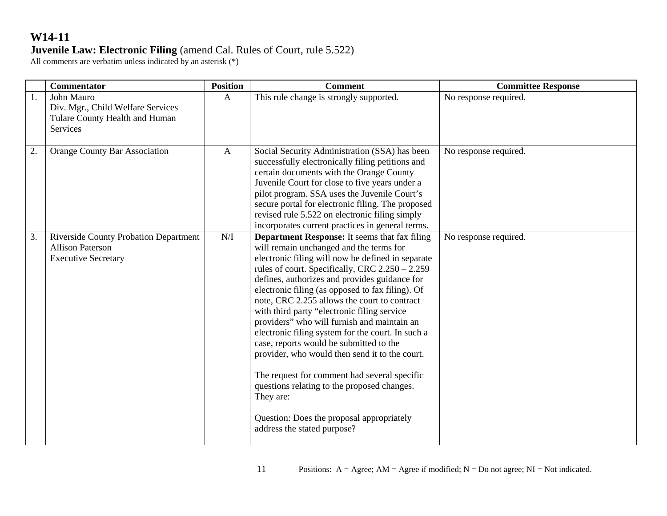|    | <b>Commentator</b>                                                                                    | <b>Position</b> | <b>Comment</b>                                                                                                                                                                                                                                                                                                                                                                                                                                                                                                                                                                                                                                                                                                                                                                                       | <b>Committee Response</b> |
|----|-------------------------------------------------------------------------------------------------------|-----------------|------------------------------------------------------------------------------------------------------------------------------------------------------------------------------------------------------------------------------------------------------------------------------------------------------------------------------------------------------------------------------------------------------------------------------------------------------------------------------------------------------------------------------------------------------------------------------------------------------------------------------------------------------------------------------------------------------------------------------------------------------------------------------------------------------|---------------------------|
| 1. | John Mauro<br>Div. Mgr., Child Welfare Services<br>Tulare County Health and Human<br>Services         | $\mathbf{A}$    | This rule change is strongly supported.                                                                                                                                                                                                                                                                                                                                                                                                                                                                                                                                                                                                                                                                                                                                                              | No response required.     |
| 2. | <b>Orange County Bar Association</b>                                                                  | $\mathbf{A}$    | Social Security Administration (SSA) has been<br>successfully electronically filing petitions and<br>certain documents with the Orange County<br>Juvenile Court for close to five years under a<br>pilot program. SSA uses the Juvenile Court's<br>secure portal for electronic filing. The proposed<br>revised rule 5.522 on electronic filing simply<br>incorporates current practices in general terms.                                                                                                                                                                                                                                                                                                                                                                                           | No response required.     |
| 3. | <b>Riverside County Probation Department</b><br><b>Allison Paterson</b><br><b>Executive Secretary</b> | N/I             | <b>Department Response:</b> It seems that fax filing<br>will remain unchanged and the terms for<br>electronic filing will now be defined in separate<br>rules of court. Specifically, CRC 2.250 - 2.259<br>defines, authorizes and provides guidance for<br>electronic filing (as opposed to fax filing). Of<br>note, CRC 2.255 allows the court to contract<br>with third party "electronic filing service<br>providers" who will furnish and maintain an<br>electronic filing system for the court. In such a<br>case, reports would be submitted to the<br>provider, who would then send it to the court.<br>The request for comment had several specific<br>questions relating to the proposed changes.<br>They are:<br>Question: Does the proposal appropriately<br>address the stated purpose? | No response required.     |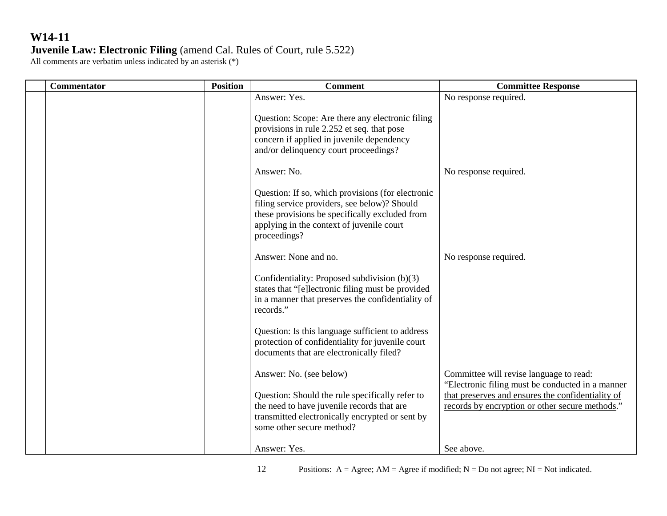| <b>Commentator</b> | <b>Position</b> | <b>Comment</b>                                                                                                                                                                                           | <b>Committee Response</b>                                                                                                                                                                           |
|--------------------|-----------------|----------------------------------------------------------------------------------------------------------------------------------------------------------------------------------------------------------|-----------------------------------------------------------------------------------------------------------------------------------------------------------------------------------------------------|
|                    |                 | Answer: Yes.<br>Question: Scope: Are there any electronic filing<br>provisions in rule 2.252 et seq. that pose<br>concern if applied in juvenile dependency                                              | No response required.                                                                                                                                                                               |
|                    |                 | and/or delinquency court proceedings?<br>Answer: No.<br>Question: If so, which provisions (for electronic                                                                                                | No response required.                                                                                                                                                                               |
|                    |                 | filing service providers, see below)? Should<br>these provisions be specifically excluded from<br>applying in the context of juvenile court<br>proceedings?                                              |                                                                                                                                                                                                     |
|                    |                 | Answer: None and no.<br>Confidentiality: Proposed subdivision (b)(3)<br>states that "[e]lectronic filing must be provided<br>in a manner that preserves the confidentiality of<br>records."              | No response required.                                                                                                                                                                               |
|                    |                 | Question: Is this language sufficient to address<br>protection of confidentiality for juvenile court<br>documents that are electronically filed?                                                         |                                                                                                                                                                                                     |
|                    |                 | Answer: No. (see below)<br>Question: Should the rule specifically refer to<br>the need to have juvenile records that are<br>transmitted electronically encrypted or sent by<br>some other secure method? | Committee will revise language to read:<br>"Electronic filing must be conducted in a manner<br>that preserves and ensures the confidentiality of<br>records by encryption or other secure methods." |
|                    |                 | Answer: Yes.                                                                                                                                                                                             | See above.                                                                                                                                                                                          |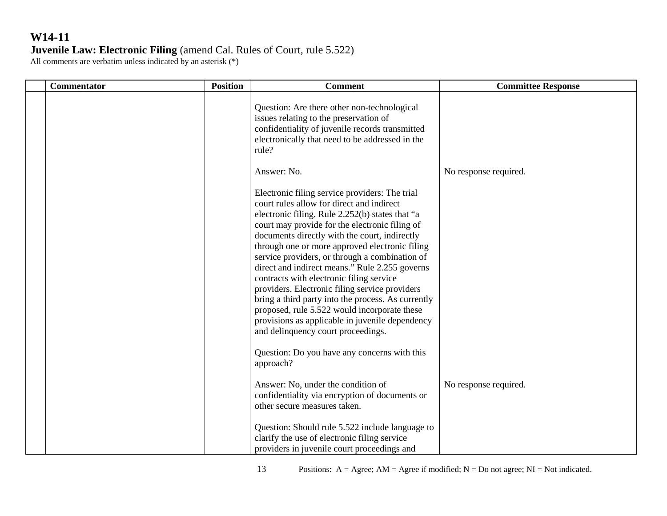| Commentator | <b>Position</b> | <b>Comment</b>                                                                                                                                                                                                                                                                                                                                                                                                                                                                                                                                                                                                                                                                                       | <b>Committee Response</b> |
|-------------|-----------------|------------------------------------------------------------------------------------------------------------------------------------------------------------------------------------------------------------------------------------------------------------------------------------------------------------------------------------------------------------------------------------------------------------------------------------------------------------------------------------------------------------------------------------------------------------------------------------------------------------------------------------------------------------------------------------------------------|---------------------------|
|             |                 | Question: Are there other non-technological<br>issues relating to the preservation of<br>confidentiality of juvenile records transmitted<br>electronically that need to be addressed in the<br>rule?                                                                                                                                                                                                                                                                                                                                                                                                                                                                                                 |                           |
|             |                 | Answer: No.                                                                                                                                                                                                                                                                                                                                                                                                                                                                                                                                                                                                                                                                                          | No response required.     |
|             |                 | Electronic filing service providers: The trial<br>court rules allow for direct and indirect<br>electronic filing. Rule 2.252(b) states that "a<br>court may provide for the electronic filing of<br>documents directly with the court, indirectly<br>through one or more approved electronic filing<br>service providers, or through a combination of<br>direct and indirect means." Rule 2.255 governs<br>contracts with electronic filing service<br>providers. Electronic filing service providers<br>bring a third party into the process. As currently<br>proposed, rule 5.522 would incorporate these<br>provisions as applicable in juvenile dependency<br>and delinquency court proceedings. |                           |
|             |                 | Question: Do you have any concerns with this<br>approach?                                                                                                                                                                                                                                                                                                                                                                                                                                                                                                                                                                                                                                            |                           |
|             |                 | Answer: No, under the condition of<br>confidentiality via encryption of documents or<br>other secure measures taken.                                                                                                                                                                                                                                                                                                                                                                                                                                                                                                                                                                                 | No response required.     |
|             |                 | Question: Should rule 5.522 include language to<br>clarify the use of electronic filing service<br>providers in juvenile court proceedings and                                                                                                                                                                                                                                                                                                                                                                                                                                                                                                                                                       |                           |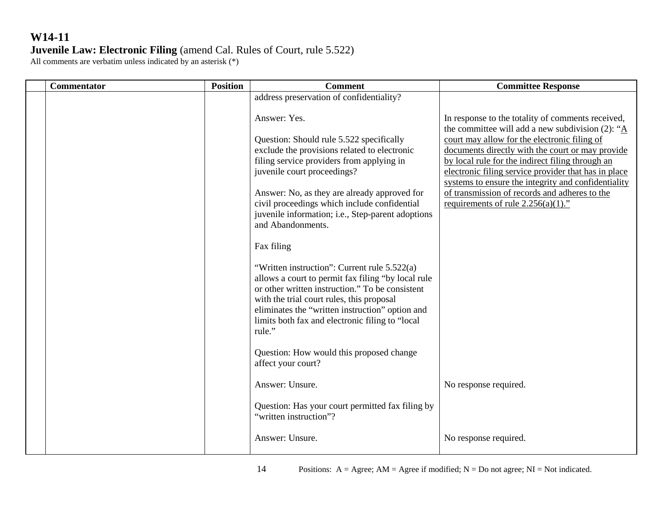| Commentator | <b>Position</b> | <b>Comment</b>                                                                                                                                                                                                                                                                                                                            | <b>Committee Response</b>                                                                                                                                                                                                                                                                                                                                                                                                                                                             |
|-------------|-----------------|-------------------------------------------------------------------------------------------------------------------------------------------------------------------------------------------------------------------------------------------------------------------------------------------------------------------------------------------|---------------------------------------------------------------------------------------------------------------------------------------------------------------------------------------------------------------------------------------------------------------------------------------------------------------------------------------------------------------------------------------------------------------------------------------------------------------------------------------|
|             |                 | address preservation of confidentiality?                                                                                                                                                                                                                                                                                                  |                                                                                                                                                                                                                                                                                                                                                                                                                                                                                       |
|             |                 | Answer: Yes.<br>Question: Should rule 5.522 specifically<br>exclude the provisions related to electronic<br>filing service providers from applying in<br>juvenile court proceedings?<br>Answer: No, as they are already approved for<br>civil proceedings which include confidential<br>juvenile information; i.e., Step-parent adoptions | In response to the totality of comments received,<br>the committee will add a new subdivision (2): " $\underline{A}$<br>court may allow for the electronic filing of<br>documents directly with the court or may provide<br>by local rule for the indirect filing through an<br>electronic filing service provider that has in place<br>systems to ensure the integrity and confidentiality<br>of transmission of records and adheres to the<br>requirements of rule $2.256(a)(1)$ ." |
|             |                 | and Abandonments.<br>Fax filing                                                                                                                                                                                                                                                                                                           |                                                                                                                                                                                                                                                                                                                                                                                                                                                                                       |
|             |                 | "Written instruction": Current rule 5.522(a)<br>allows a court to permit fax filing "by local rule<br>or other written instruction." To be consistent<br>with the trial court rules, this proposal<br>eliminates the "written instruction" option and<br>limits both fax and electronic filing to "local<br>rule."                        |                                                                                                                                                                                                                                                                                                                                                                                                                                                                                       |
|             |                 | Question: How would this proposed change<br>affect your court?                                                                                                                                                                                                                                                                            |                                                                                                                                                                                                                                                                                                                                                                                                                                                                                       |
|             |                 | Answer: Unsure.                                                                                                                                                                                                                                                                                                                           | No response required.                                                                                                                                                                                                                                                                                                                                                                                                                                                                 |
|             |                 | Question: Has your court permitted fax filing by<br>"written instruction"?                                                                                                                                                                                                                                                                |                                                                                                                                                                                                                                                                                                                                                                                                                                                                                       |
|             |                 | Answer: Unsure.                                                                                                                                                                                                                                                                                                                           | No response required.                                                                                                                                                                                                                                                                                                                                                                                                                                                                 |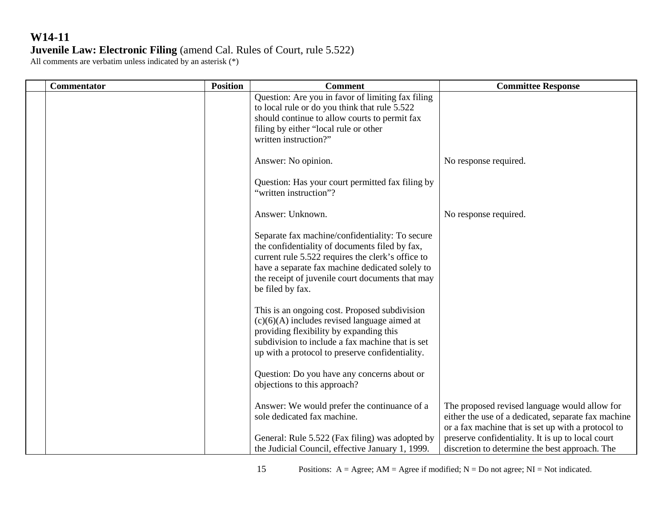| Commentator | <b>Position</b> | <b>Comment</b>                                                                                                                                                                                                                                                                    | <b>Committee Response</b>                                                                                                                                  |
|-------------|-----------------|-----------------------------------------------------------------------------------------------------------------------------------------------------------------------------------------------------------------------------------------------------------------------------------|------------------------------------------------------------------------------------------------------------------------------------------------------------|
|             |                 | Question: Are you in favor of limiting fax filing<br>to local rule or do you think that rule 5.522<br>should continue to allow courts to permit fax<br>filing by either "local rule or other<br>written instruction?"                                                             |                                                                                                                                                            |
|             |                 | Answer: No opinion.                                                                                                                                                                                                                                                               | No response required.                                                                                                                                      |
|             |                 | Question: Has your court permitted fax filing by<br>"written instruction"?                                                                                                                                                                                                        |                                                                                                                                                            |
|             |                 | Answer: Unknown.                                                                                                                                                                                                                                                                  | No response required.                                                                                                                                      |
|             |                 | Separate fax machine/confidentiality: To secure<br>the confidentiality of documents filed by fax,<br>current rule 5.522 requires the clerk's office to<br>have a separate fax machine dedicated solely to<br>the receipt of juvenile court documents that may<br>be filed by fax. |                                                                                                                                                            |
|             |                 | This is an ongoing cost. Proposed subdivision<br>$(c)(6)(A)$ includes revised language aimed at<br>providing flexibility by expanding this<br>subdivision to include a fax machine that is set<br>up with a protocol to preserve confidentiality.                                 |                                                                                                                                                            |
|             |                 | Question: Do you have any concerns about or<br>objections to this approach?                                                                                                                                                                                                       |                                                                                                                                                            |
|             |                 | Answer: We would prefer the continuance of a<br>sole dedicated fax machine.                                                                                                                                                                                                       | The proposed revised language would allow for<br>either the use of a dedicated, separate fax machine<br>or a fax machine that is set up with a protocol to |
|             |                 | General: Rule 5.522 (Fax filing) was adopted by<br>the Judicial Council, effective January 1, 1999.                                                                                                                                                                               | preserve confidentiality. It is up to local court<br>discretion to determine the best approach. The                                                        |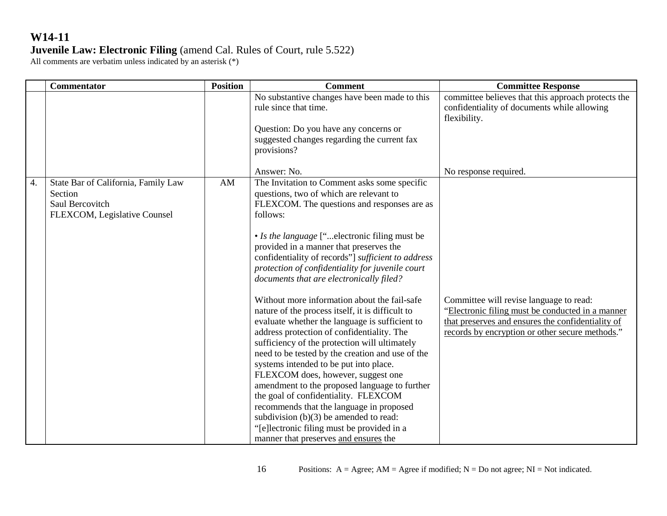|    | Commentator                                                                                       | <b>Position</b> | <b>Comment</b>                                                                                                                                                                                                                                                                                                                                                                                                                                                                                                                                                                                                                                                                                                                                                                                                                                                                                                                                                                                                                                                        | <b>Committee Response</b>                                                                                                                                                                           |
|----|---------------------------------------------------------------------------------------------------|-----------------|-----------------------------------------------------------------------------------------------------------------------------------------------------------------------------------------------------------------------------------------------------------------------------------------------------------------------------------------------------------------------------------------------------------------------------------------------------------------------------------------------------------------------------------------------------------------------------------------------------------------------------------------------------------------------------------------------------------------------------------------------------------------------------------------------------------------------------------------------------------------------------------------------------------------------------------------------------------------------------------------------------------------------------------------------------------------------|-----------------------------------------------------------------------------------------------------------------------------------------------------------------------------------------------------|
|    |                                                                                                   |                 | No substantive changes have been made to this<br>rule since that time.<br>Question: Do you have any concerns or<br>suggested changes regarding the current fax<br>provisions?                                                                                                                                                                                                                                                                                                                                                                                                                                                                                                                                                                                                                                                                                                                                                                                                                                                                                         | committee believes that this approach protects the<br>confidentiality of documents while allowing<br>flexibility.                                                                                   |
|    |                                                                                                   |                 | Answer: No.                                                                                                                                                                                                                                                                                                                                                                                                                                                                                                                                                                                                                                                                                                                                                                                                                                                                                                                                                                                                                                                           | No response required.                                                                                                                                                                               |
| 4. | State Bar of California, Family Law<br>Section<br>Saul Bercovitch<br>FLEXCOM, Legislative Counsel | AM              | The Invitation to Comment asks some specific<br>questions, two of which are relevant to<br>FLEXCOM. The questions and responses are as<br>follows:<br>• Is the language ["electronic filing must be<br>provided in a manner that preserves the<br>confidentiality of records"] sufficient to address<br>protection of confidentiality for juvenile court<br>documents that are electronically filed?<br>Without more information about the fail-safe<br>nature of the process itself, it is difficult to<br>evaluate whether the language is sufficient to<br>address protection of confidentiality. The<br>sufficiency of the protection will ultimately<br>need to be tested by the creation and use of the<br>systems intended to be put into place.<br>FLEXCOM does, however, suggest one<br>amendment to the proposed language to further<br>the goal of confidentiality. FLEXCOM<br>recommends that the language in proposed<br>subdivision $(b)(3)$ be amended to read:<br>"[e]lectronic filing must be provided in a<br>manner that preserves and ensures the | Committee will revise language to read:<br>"Electronic filing must be conducted in a manner<br>that preserves and ensures the confidentiality of<br>records by encryption or other secure methods." |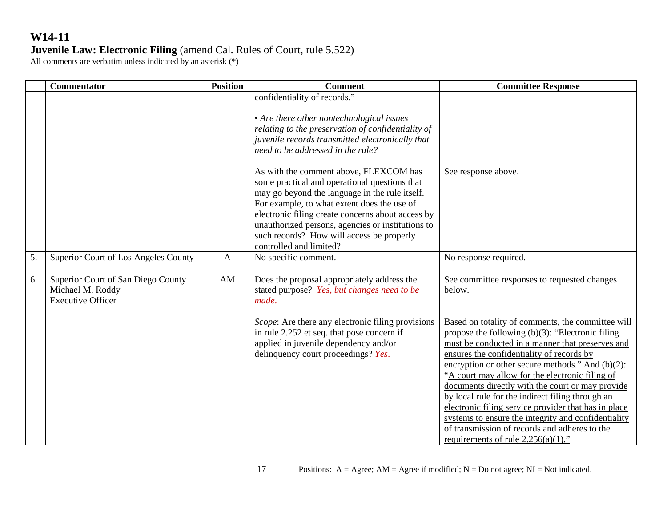|    | <b>Commentator</b>                                                                 | <b>Position</b> | <b>Comment</b>                                                                                                                                                                                                                                                                                                                                                                                                                                                                                                                                                                                         | <b>Committee Response</b>                                                                                                                                                                                                                                                                                                                                                                                                                                                                                                                                                                                                            |
|----|------------------------------------------------------------------------------------|-----------------|--------------------------------------------------------------------------------------------------------------------------------------------------------------------------------------------------------------------------------------------------------------------------------------------------------------------------------------------------------------------------------------------------------------------------------------------------------------------------------------------------------------------------------------------------------------------------------------------------------|--------------------------------------------------------------------------------------------------------------------------------------------------------------------------------------------------------------------------------------------------------------------------------------------------------------------------------------------------------------------------------------------------------------------------------------------------------------------------------------------------------------------------------------------------------------------------------------------------------------------------------------|
|    |                                                                                    |                 | confidentiality of records."<br>• Are there other nontechnological issues<br>relating to the preservation of confidentiality of<br>juvenile records transmitted electronically that<br>need to be addressed in the rule?<br>As with the comment above, FLEXCOM has<br>some practical and operational questions that<br>may go beyond the language in the rule itself.<br>For example, to what extent does the use of<br>electronic filing create concerns about access by<br>unauthorized persons, agencies or institutions to<br>such records? How will access be properly<br>controlled and limited? | See response above.                                                                                                                                                                                                                                                                                                                                                                                                                                                                                                                                                                                                                  |
| 5. | Superior Court of Los Angeles County                                               | $\mathbf{A}$    | No specific comment.                                                                                                                                                                                                                                                                                                                                                                                                                                                                                                                                                                                   | No response required.                                                                                                                                                                                                                                                                                                                                                                                                                                                                                                                                                                                                                |
| 6. | Superior Court of San Diego County<br>Michael M. Roddy<br><b>Executive Officer</b> | AM              | Does the proposal appropriately address the<br>stated purpose? Yes, but changes need to be<br>made.                                                                                                                                                                                                                                                                                                                                                                                                                                                                                                    | See committee responses to requested changes<br>below.                                                                                                                                                                                                                                                                                                                                                                                                                                                                                                                                                                               |
|    |                                                                                    |                 | Scope: Are there any electronic filing provisions<br>in rule 2.252 et seq. that pose concern if<br>applied in juvenile dependency and/or<br>delinquency court proceedings? Yes.                                                                                                                                                                                                                                                                                                                                                                                                                        | Based on totality of comments, the committee will<br>propose the following $(b)(3)$ : "Electronic filing<br>must be conducted in a manner that preserves and<br>ensures the confidentiality of records by<br>encryption or other secure methods." And $(b)(2)$ :<br>"A court may allow for the electronic filing of<br>documents directly with the court or may provide<br>by local rule for the indirect filing through an<br>electronic filing service provider that has in place<br>systems to ensure the integrity and confidentiality<br>of transmission of records and adheres to the<br>requirements of rule $2.256(a)(1)$ ." |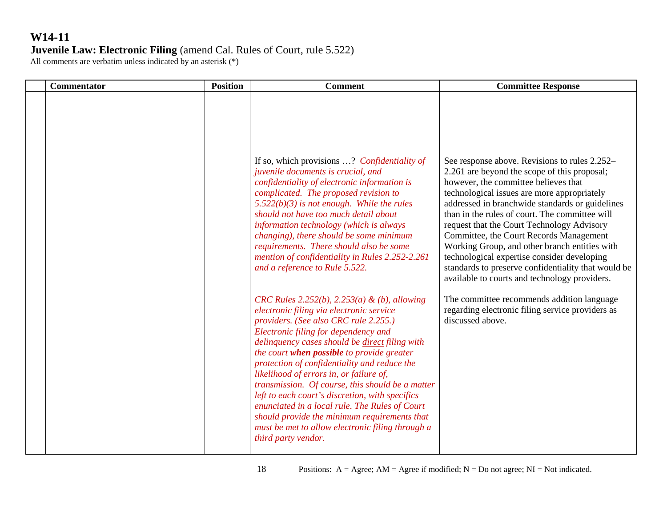#### **W14-11 Juvenile Law: Electronic Filing** (amend Cal. Rules of Court, rule 5.522) All comments are verbatim unless indicated by an asterisk (\*)

| <b>Commentator</b> | <b>Position</b> | <b>Comment</b>                                                                                                                                                                                                                                                                                                                                                                                                                                                                                                                                                                                                                                           | <b>Committee Response</b>                                                                                                                                                                                                                                                                                                                                                                                                                                                                                                                                                                  |
|--------------------|-----------------|----------------------------------------------------------------------------------------------------------------------------------------------------------------------------------------------------------------------------------------------------------------------------------------------------------------------------------------------------------------------------------------------------------------------------------------------------------------------------------------------------------------------------------------------------------------------------------------------------------------------------------------------------------|--------------------------------------------------------------------------------------------------------------------------------------------------------------------------------------------------------------------------------------------------------------------------------------------------------------------------------------------------------------------------------------------------------------------------------------------------------------------------------------------------------------------------------------------------------------------------------------------|
|                    |                 | If so, which provisions ? Confidentiality of<br>juvenile documents is crucial, and<br>confidentiality of electronic information is<br>complicated. The proposed revision to<br>$5.522(b)(3)$ is not enough. While the rules<br>should not have too much detail about<br>information technology (which is always<br>changing), there should be some minimum<br>requirements. There should also be some<br>mention of confidentiality in Rules 2.252-2.261<br>and a reference to Rule 5.522.                                                                                                                                                               | See response above. Revisions to rules 2.252–<br>2.261 are beyond the scope of this proposal;<br>however, the committee believes that<br>technological issues are more appropriately<br>addressed in branchwide standards or guidelines<br>than in the rules of court. The committee will<br>request that the Court Technology Advisory<br>Committee, the Court Records Management<br>Working Group, and other branch entities with<br>technological expertise consider developing<br>standards to preserve confidentiality that would be<br>available to courts and technology providers. |
|                    |                 | CRC Rules 2.252(b), 2.253(a) & (b), allowing<br>electronic filing via electronic service<br>providers. (See also CRC rule 2.255.)<br>Electronic filing for dependency and<br>delinquency cases should be direct filing with<br>the court when possible to provide greater<br>protection of confidentiality and reduce the<br>likelihood of errors in, or failure of,<br>transmission. Of course, this should be a matter<br>left to each court's discretion, with specifics<br>enunciated in a local rule. The Rules of Court<br>should provide the minimum requirements that<br>must be met to allow electronic filing through a<br>third party vendor. | The committee recommends addition language<br>regarding electronic filing service providers as<br>discussed above.                                                                                                                                                                                                                                                                                                                                                                                                                                                                         |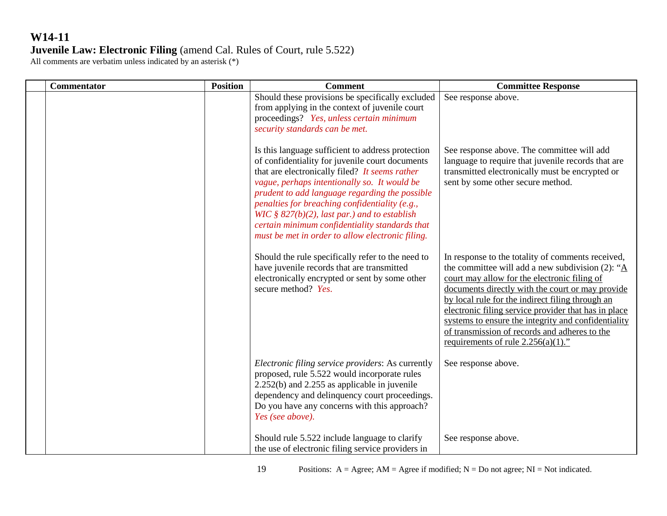| <b>Commentator</b> | <b>Position</b> | <b>Comment</b>                                                                                                                                                                                                                                                                                                                                                                                                                                                      | <b>Committee Response</b>                                                                                                                                                                                                                                                                                                                                                                                                                                                             |
|--------------------|-----------------|---------------------------------------------------------------------------------------------------------------------------------------------------------------------------------------------------------------------------------------------------------------------------------------------------------------------------------------------------------------------------------------------------------------------------------------------------------------------|---------------------------------------------------------------------------------------------------------------------------------------------------------------------------------------------------------------------------------------------------------------------------------------------------------------------------------------------------------------------------------------------------------------------------------------------------------------------------------------|
|                    |                 | Should these provisions be specifically excluded<br>from applying in the context of juvenile court<br>proceedings? Yes, unless certain minimum<br>security standards can be met.                                                                                                                                                                                                                                                                                    | See response above.                                                                                                                                                                                                                                                                                                                                                                                                                                                                   |
|                    |                 | Is this language sufficient to address protection<br>of confidentiality for juvenile court documents<br>that are electronically filed? It seems rather<br>vague, perhaps intentionally so. It would be<br>prudent to add language regarding the possible<br>penalties for breaching confidentiality (e.g.,<br>WIC § $827(b)(2)$ , last par.) and to establish<br>certain minimum confidentiality standards that<br>must be met in order to allow electronic filing. | See response above. The committee will add<br>language to require that juvenile records that are<br>transmitted electronically must be encrypted or<br>sent by some other secure method.                                                                                                                                                                                                                                                                                              |
|                    |                 | Should the rule specifically refer to the need to<br>have juvenile records that are transmitted<br>electronically encrypted or sent by some other<br>secure method? Yes.                                                                                                                                                                                                                                                                                            | In response to the totality of comments received,<br>the committee will add a new subdivision (2): " $\underline{A}$<br>court may allow for the electronic filing of<br>documents directly with the court or may provide<br>by local rule for the indirect filing through an<br>electronic filing service provider that has in place<br>systems to ensure the integrity and confidentiality<br>of transmission of records and adheres to the<br>requirements of rule $2.256(a)(1)$ ." |
|                    |                 | Electronic filing service providers: As currently<br>proposed, rule 5.522 would incorporate rules<br>$2.252(b)$ and $2.255$ as applicable in juvenile<br>dependency and delinquency court proceedings.<br>Do you have any concerns with this approach?<br>Yes (see above).                                                                                                                                                                                          | See response above.                                                                                                                                                                                                                                                                                                                                                                                                                                                                   |
|                    |                 | Should rule 5.522 include language to clarify<br>the use of electronic filing service providers in                                                                                                                                                                                                                                                                                                                                                                  | See response above.                                                                                                                                                                                                                                                                                                                                                                                                                                                                   |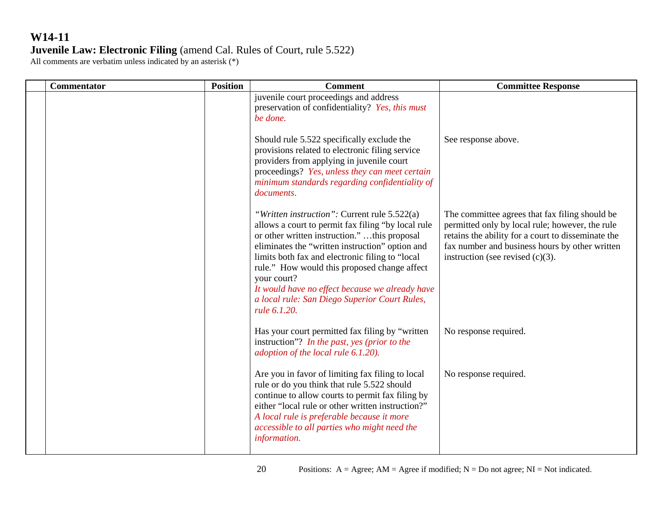| <b>Commentator</b> | <b>Position</b> | <b>Comment</b>                                                                                                                                                                                                                                                                                                                                                                                                                                | <b>Committee Response</b>                                                                                                                                                                                                                        |
|--------------------|-----------------|-----------------------------------------------------------------------------------------------------------------------------------------------------------------------------------------------------------------------------------------------------------------------------------------------------------------------------------------------------------------------------------------------------------------------------------------------|--------------------------------------------------------------------------------------------------------------------------------------------------------------------------------------------------------------------------------------------------|
|                    |                 | juvenile court proceedings and address<br>preservation of confidentiality? Yes, this must<br>be done.                                                                                                                                                                                                                                                                                                                                         |                                                                                                                                                                                                                                                  |
|                    |                 | Should rule 5.522 specifically exclude the<br>provisions related to electronic filing service<br>providers from applying in juvenile court<br>proceedings? Yes, unless they can meet certain<br>minimum standards regarding confidentiality of<br>documents.                                                                                                                                                                                  | See response above.                                                                                                                                                                                                                              |
|                    |                 | "Written instruction": Current rule 5.522(a)<br>allows a court to permit fax filing "by local rule"<br>or other written instruction." this proposal<br>eliminates the "written instruction" option and<br>limits both fax and electronic filing to "local"<br>rule." How would this proposed change affect<br>your court?<br>It would have no effect because we already have<br>a local rule: San Diego Superior Court Rules,<br>rule 6.1.20. | The committee agrees that fax filing should be<br>permitted only by local rule; however, the rule<br>retains the ability for a court to disseminate the<br>fax number and business hours by other written<br>instruction (see revised $(c)(3)$ . |
|                    |                 | Has your court permitted fax filing by "written<br>instruction"? In the past, yes (prior to the<br>adoption of the local rule 6.1.20).                                                                                                                                                                                                                                                                                                        | No response required.                                                                                                                                                                                                                            |
|                    |                 | Are you in favor of limiting fax filing to local<br>rule or do you think that rule 5.522 should<br>continue to allow courts to permit fax filing by<br>either "local rule or other written instruction?"<br>A local rule is preferable because it more<br>accessible to all parties who might need the<br>information.                                                                                                                        | No response required.                                                                                                                                                                                                                            |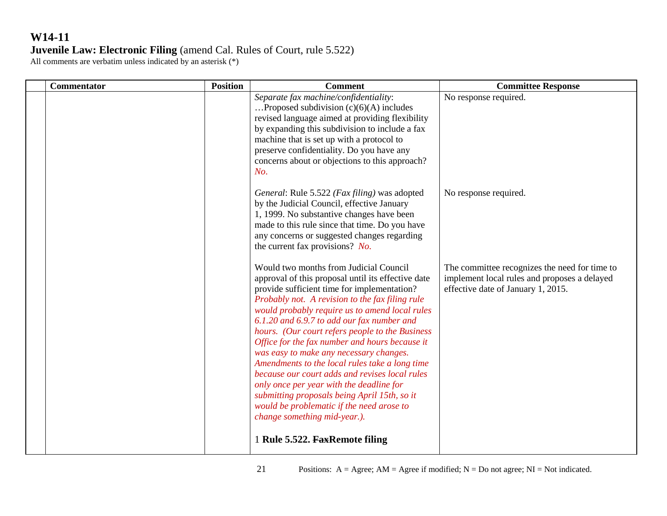| <b>Commentator</b> | <b>Position</b> | <b>Comment</b>                                                                                                                                                                                                                                                                                                                                                                                                                                                                                                                                                                                                                                                                                                              | <b>Committee Response</b>                                                                                                           |
|--------------------|-----------------|-----------------------------------------------------------------------------------------------------------------------------------------------------------------------------------------------------------------------------------------------------------------------------------------------------------------------------------------------------------------------------------------------------------------------------------------------------------------------------------------------------------------------------------------------------------------------------------------------------------------------------------------------------------------------------------------------------------------------------|-------------------------------------------------------------------------------------------------------------------------------------|
|                    |                 | Separate fax machine/confidentiality:<br>Proposed subdivision $(c)(6)(A)$ includes<br>revised language aimed at providing flexibility<br>by expanding this subdivision to include a fax<br>machine that is set up with a protocol to<br>preserve confidentiality. Do you have any<br>concerns about or objections to this approach?<br>No.                                                                                                                                                                                                                                                                                                                                                                                  | No response required.                                                                                                               |
|                    |                 | General: Rule 5.522 (Fax filing) was adopted<br>by the Judicial Council, effective January<br>1, 1999. No substantive changes have been<br>made to this rule since that time. Do you have<br>any concerns or suggested changes regarding<br>the current fax provisions? No.                                                                                                                                                                                                                                                                                                                                                                                                                                                 | No response required.                                                                                                               |
|                    |                 | Would two months from Judicial Council<br>approval of this proposal until its effective date<br>provide sufficient time for implementation?<br>Probably not. A revision to the fax filing rule<br>would probably require us to amend local rules<br>6.1.20 and 6.9.7 to add our fax number and<br>hours. (Our court refers people to the Business<br>Office for the fax number and hours because it<br>was easy to make any necessary changes.<br>Amendments to the local rules take a long time<br>because our court adds and revises local rules<br>only once per year with the deadline for<br>submitting proposals being April 15th, so it<br>would be problematic if the need arose to<br>change something mid-year.). | The committee recognizes the need for time to<br>implement local rules and proposes a delayed<br>effective date of January 1, 2015. |
|                    |                 | 1 Rule 5.522. FaxRemote filing                                                                                                                                                                                                                                                                                                                                                                                                                                                                                                                                                                                                                                                                                              |                                                                                                                                     |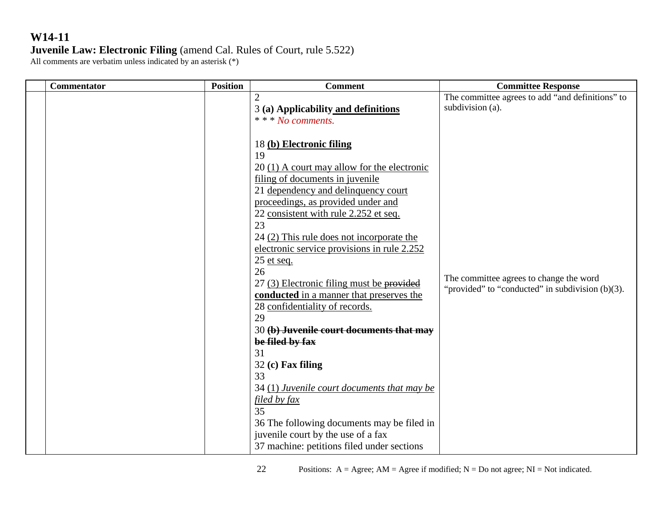| <b>Commentator</b> | <b>Position</b> | <b>Comment</b>                              | <b>Committee Response</b>                           |
|--------------------|-----------------|---------------------------------------------|-----------------------------------------------------|
|                    |                 | $\overline{2}$                              | The committee agrees to add "and definitions" to    |
|                    |                 | 3 (a) Applicability and definitions         | subdivision (a).                                    |
|                    |                 | * * * No comments.                          |                                                     |
|                    |                 |                                             |                                                     |
|                    |                 | 18 (b) Electronic filing                    |                                                     |
|                    |                 | 19                                          |                                                     |
|                    |                 | 20 (1) A court may allow for the electronic |                                                     |
|                    |                 | filing of documents in juvenile             |                                                     |
|                    |                 | 21 dependency and delinquency court         |                                                     |
|                    |                 | proceedings, as provided under and          |                                                     |
|                    |                 | 22 consistent with rule 2.252 et seq.       |                                                     |
|                    |                 | 23                                          |                                                     |
|                    |                 | 24 (2) This rule does not incorporate the   |                                                     |
|                    |                 | electronic service provisions in rule 2.252 |                                                     |
|                    |                 | 25 et seq.                                  |                                                     |
|                    |                 | 26                                          | The committee agrees to change the word             |
|                    |                 | 27 (3) Electronic filing must be provided   | "provided" to "conducted" in subdivision $(b)(3)$ . |
|                    |                 | conducted in a manner that preserves the    |                                                     |
|                    |                 | 28 confidentiality of records.              |                                                     |
|                    |                 | 29                                          |                                                     |
|                    |                 | 30 (b) Juvenile court documents that may    |                                                     |
|                    |                 | be filed by fax                             |                                                     |
|                    |                 | 31                                          |                                                     |
|                    |                 | $32$ (c) Fax filing                         |                                                     |
|                    |                 | 33                                          |                                                     |
|                    |                 | 34 (1) Juvenile court documents that may be |                                                     |
|                    |                 | filed by fax                                |                                                     |
|                    |                 | 35                                          |                                                     |
|                    |                 | 36 The following documents may be filed in  |                                                     |
|                    |                 | juvenile court by the use of a fax          |                                                     |
|                    |                 | 37 machine: petitions filed under sections  |                                                     |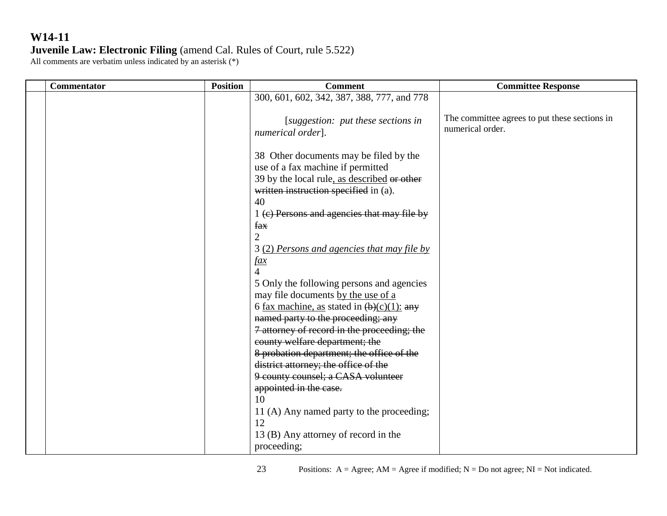| <b>Commentator</b> | <b>Position</b> | <b>Comment</b>                                                                                                                                                                                                           | <b>Committee Response</b>                                         |
|--------------------|-----------------|--------------------------------------------------------------------------------------------------------------------------------------------------------------------------------------------------------------------------|-------------------------------------------------------------------|
|                    |                 | 300, 601, 602, 342, 387, 388, 777, and 778                                                                                                                                                                               |                                                                   |
|                    |                 | [suggestion: put these sections in<br>numerical order].                                                                                                                                                                  | The committee agrees to put these sections in<br>numerical order. |
|                    |                 | 38 Other documents may be filed by the<br>use of a fax machine if permitted<br>39 by the local rule, as described or other<br>written instruction specified in (a).<br>40<br>1 (c) Persons and agencies that may file by |                                                                   |
|                    |                 | fax<br>$\overline{2}$<br>3 (2) Persons and agencies that may file by<br><u>fax</u><br>$\overline{4}$                                                                                                                     |                                                                   |
|                    |                 | 5 Only the following persons and agencies<br>may file documents by the use of a<br>6 fax machine, as stated in $(b)(c)(1)$ : any<br>named party to the proceeding; any<br>7 attorney of record in the proceeding; the    |                                                                   |
|                    |                 | county welfare department; the<br>8 probation department; the office of the<br>district attorney; the office of the<br>9 county counsel; a CASA volunteer<br>appointed in the case.                                      |                                                                   |
|                    |                 | 10<br>11 (A) Any named party to the proceeding;<br>12<br>13 (B) Any attorney of record in the<br>proceeding;                                                                                                             |                                                                   |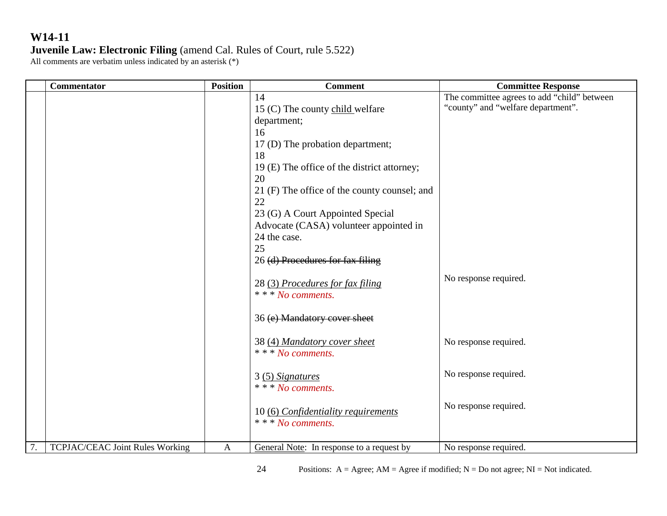| <b>Commentator</b>                    | <b>Position</b> | <b>Comment</b>                                                             | <b>Committee Response</b>                                                         |
|---------------------------------------|-----------------|----------------------------------------------------------------------------|-----------------------------------------------------------------------------------|
|                                       |                 | 14<br>15 (C) The county child welfare                                      | The committee agrees to add "child" between<br>"county" and "welfare department". |
|                                       |                 | department;<br>16                                                          |                                                                                   |
|                                       |                 | 17 (D) The probation department;<br>18                                     |                                                                                   |
|                                       |                 | 19 (E) The office of the district attorney;<br>20                          |                                                                                   |
|                                       |                 | 21 (F) The office of the county counsel; and<br>22                         |                                                                                   |
|                                       |                 | 23 (G) A Court Appointed Special<br>Advocate (CASA) volunteer appointed in |                                                                                   |
|                                       |                 | 24 the case.                                                               |                                                                                   |
|                                       |                 | 25<br>26 (d) Procedures for fax filing                                     |                                                                                   |
|                                       |                 | 28 (3) Procedures for fax filing<br>* * * No comments.                     | No response required.                                                             |
|                                       |                 | 36 (e) Mandatory cover sheet                                               |                                                                                   |
|                                       |                 | 38 (4) Mandatory cover sheet<br>* * * No comments.                         | No response required.                                                             |
|                                       |                 | 3 (5) Signatures<br>* * * No comments.                                     | No response required.                                                             |
|                                       |                 | 10 (6) Confidentiality requirements<br>* * * No comments.                  | No response required.                                                             |
| 7.<br>TCPJAC/CEAC Joint Rules Working | A               | <b>General Note:</b> In response to a request by                           | No response required.                                                             |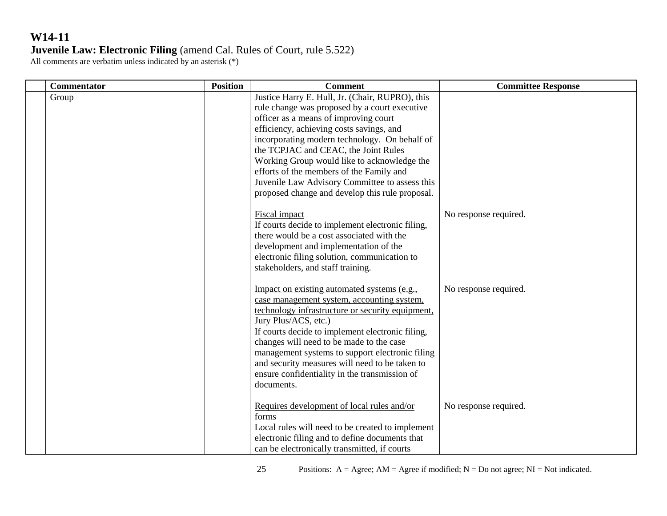| <b>Commentator</b> | <b>Position</b> | <b>Comment</b>                                                                                                                                                                                                                                                                                                                                                                                                                                                                 | <b>Committee Response</b> |
|--------------------|-----------------|--------------------------------------------------------------------------------------------------------------------------------------------------------------------------------------------------------------------------------------------------------------------------------------------------------------------------------------------------------------------------------------------------------------------------------------------------------------------------------|---------------------------|
| Group              |                 | Justice Harry E. Hull, Jr. (Chair, RUPRO), this<br>rule change was proposed by a court executive<br>officer as a means of improving court<br>efficiency, achieving costs savings, and<br>incorporating modern technology. On behalf of<br>the TCPJAC and CEAC, the Joint Rules<br>Working Group would like to acknowledge the<br>efforts of the members of the Family and<br>Juvenile Law Advisory Committee to assess this<br>proposed change and develop this rule proposal. |                           |
|                    |                 | Fiscal impact<br>If courts decide to implement electronic filing,<br>there would be a cost associated with the<br>development and implementation of the<br>electronic filing solution, communication to<br>stakeholders, and staff training.                                                                                                                                                                                                                                   | No response required.     |
|                    |                 | Impact on existing automated systems (e.g.,<br>case management system, accounting system,<br>technology infrastructure or security equipment,<br>Jury Plus/ACS, etc.)<br>If courts decide to implement electronic filing,<br>changes will need to be made to the case<br>management systems to support electronic filing<br>and security measures will need to be taken to<br>ensure confidentiality in the transmission of<br>documents.                                      | No response required.     |
|                    |                 | Requires development of local rules and/or<br>forms<br>Local rules will need to be created to implement<br>electronic filing and to define documents that<br>can be electronically transmitted, if courts                                                                                                                                                                                                                                                                      | No response required.     |